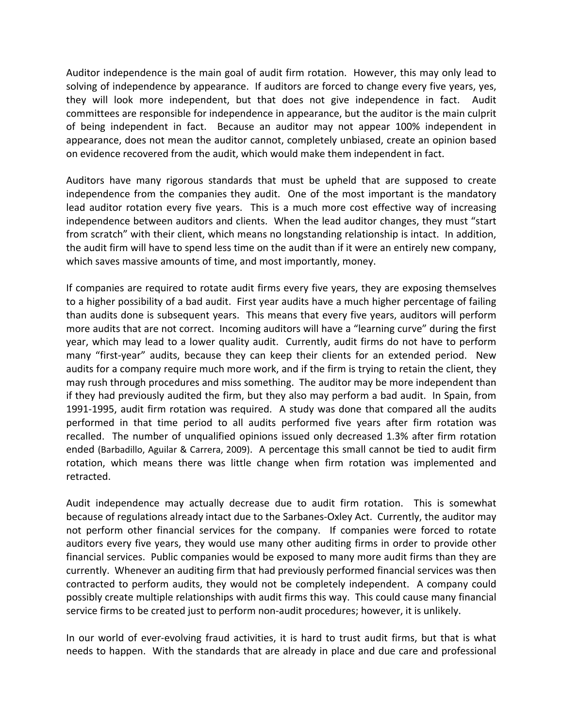Auditor independence is the main goal of audit firm rotation. However, this may only lead to solving of independence by appearance. If auditors are forced to change every five years, yes, they will look more independent, but that does not give independence in fact. Audit committees are responsible for independence in appearance, but the auditor is the main culprit of being independent in fact. Because an auditor may not appear 100% independent in appearance, does not mean the auditor cannot, completely unbiased, create an opinion based on evidence recovered from the audit, which would make them independent in fact.

Auditors have many rigorous standards that must be upheld that are supposed to create independence from the companies they audit. One of the most important is the mandatory lead auditor rotation every five years. This is a much more cost effective way of increasing independence between auditors and clients. When the lead auditor changes, they must "start from scratch" with their client, which means no longstanding relationship is intact. In addition, the audit firm will have to spend less time on the audit than if it were an entirely new company, which saves massive amounts of time, and most importantly, money.

If companies are required to rotate audit firms every five years, they are exposing themselves to a higher possibility of a bad audit. First year audits have a much higher percentage of failing than audits done is subsequent years. This means that every five years, auditors will perform more audits that are not correct. Incoming auditors will have a "learning curve" during the first year, which may lead to a lower quality audit. Currently, audit firms do not have to perform many "first-year" audits, because they can keep their clients for an extended period. New audits for a company require much more work, and if the firm is trying to retain the client, they may rush through procedures and miss something. The auditor may be more independent than if they had previously audited the firm, but they also may perform a bad audit. In Spain, from 1991-1995, audit firm rotation was required. A study was done that compared all the audits performed in that time period to all audits performed five years after firm rotation was recalled. The number of unqualified opinions issued only decreased 1.3% after firm rotation ended (Barbadillo, Aguilar & Carrera, 2009). A percentage this small cannot be tied to audit firm rotation, which means there was little change when firm rotation was implemented and retracted.

Audit independence may actually decrease due to audit firm rotation. This is somewhat because of regulations already intact due to the Sarbanes‐Oxley Act. Currently, the auditor may not perform other financial services for the company. If companies were forced to rotate auditors every five years, they would use many other auditing firms in order to provide other financial services. Public companies would be exposed to many more audit firms than they are currently. Whenever an auditing firm that had previously performed financial services was then contracted to perform audits, they would not be completely independent. A company could possibly create multiple relationships with audit firms this way. This could cause many financial service firms to be created just to perform non-audit procedures; however, it is unlikely.

In our world of ever-evolving fraud activities, it is hard to trust audit firms, but that is what needs to happen. With the standards that are already in place and due care and professional